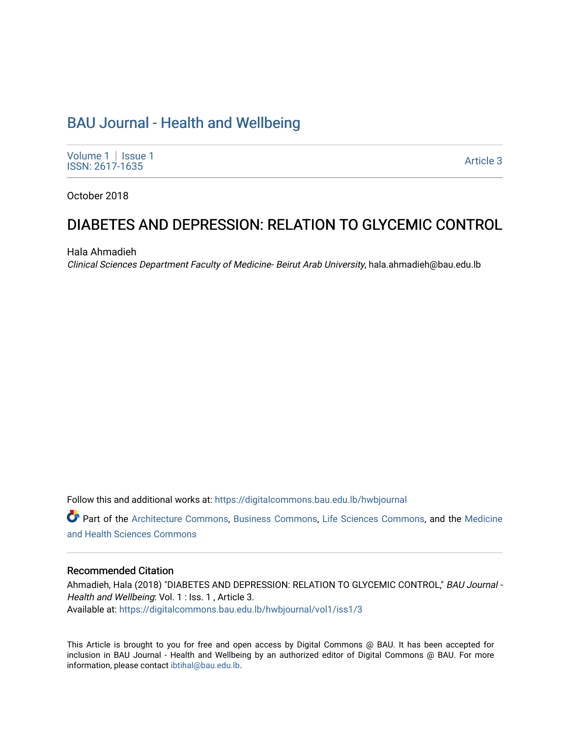# [BAU Journal - Health and Wellbeing](https://digitalcommons.bau.edu.lb/hwbjournal)

[Volume 1](https://digitalcommons.bau.edu.lb/hwbjournal/vol1) | Issue 1 Political Pressure Pressure in the Second Second Second Second Second Second Second Second Second Second Second Second Second Second Second Second Second Second Second Second Second Second Second Second Second Second Secon

October 2018

# DIABETES AND DEPRESSION: RELATION TO GLYCEMIC CONTROL

Hala Ahmadieh

Clinical Sciences Department Faculty of Medicine- Beirut Arab University, hala.ahmadieh@bau.edu.lb

Follow this and additional works at: [https://digitalcommons.bau.edu.lb/hwbjournal](https://digitalcommons.bau.edu.lb/hwbjournal?utm_source=digitalcommons.bau.edu.lb%2Fhwbjournal%2Fvol1%2Fiss1%2F3&utm_medium=PDF&utm_campaign=PDFCoverPages)

Part of the [Architecture Commons](http://network.bepress.com/hgg/discipline/773?utm_source=digitalcommons.bau.edu.lb%2Fhwbjournal%2Fvol1%2Fiss1%2F3&utm_medium=PDF&utm_campaign=PDFCoverPages), [Business Commons,](http://network.bepress.com/hgg/discipline/622?utm_source=digitalcommons.bau.edu.lb%2Fhwbjournal%2Fvol1%2Fiss1%2F3&utm_medium=PDF&utm_campaign=PDFCoverPages) [Life Sciences Commons](http://network.bepress.com/hgg/discipline/1016?utm_source=digitalcommons.bau.edu.lb%2Fhwbjournal%2Fvol1%2Fiss1%2F3&utm_medium=PDF&utm_campaign=PDFCoverPages), and the [Medicine](http://network.bepress.com/hgg/discipline/648?utm_source=digitalcommons.bau.edu.lb%2Fhwbjournal%2Fvol1%2Fiss1%2F3&utm_medium=PDF&utm_campaign=PDFCoverPages)  [and Health Sciences Commons](http://network.bepress.com/hgg/discipline/648?utm_source=digitalcommons.bau.edu.lb%2Fhwbjournal%2Fvol1%2Fiss1%2F3&utm_medium=PDF&utm_campaign=PDFCoverPages)

#### Recommended Citation

Ahmadieh, Hala (2018) "DIABETES AND DEPRESSION: RELATION TO GLYCEMIC CONTROL," BAU Journal -Health and Wellbeing: Vol. 1 : Iss. 1, Article 3. Available at: [https://digitalcommons.bau.edu.lb/hwbjournal/vol1/iss1/3](https://digitalcommons.bau.edu.lb/hwbjournal/vol1/iss1/3?utm_source=digitalcommons.bau.edu.lb%2Fhwbjournal%2Fvol1%2Fiss1%2F3&utm_medium=PDF&utm_campaign=PDFCoverPages) 

This Article is brought to you for free and open access by Digital Commons @ BAU. It has been accepted for inclusion in BAU Journal - Health and Wellbeing by an authorized editor of Digital Commons @ BAU. For more information, please contact [ibtihal@bau.edu.lb.](mailto:ibtihal@bau.edu.lb)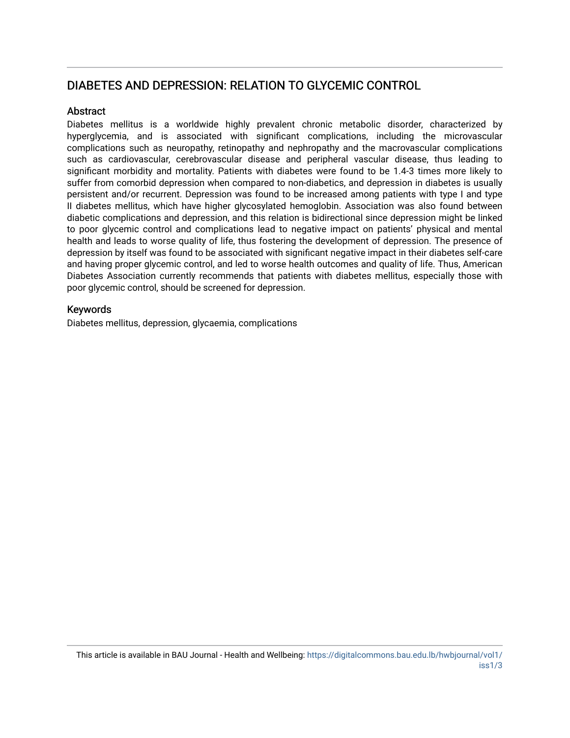## DIABETES AND DEPRESSION: RELATION TO GLYCEMIC CONTROL

#### Abstract

Diabetes mellitus is a worldwide highly prevalent chronic metabolic disorder, characterized by hyperglycemia, and is associated with significant complications, including the microvascular complications such as neuropathy, retinopathy and nephropathy and the macrovascular complications such as cardiovascular, cerebrovascular disease and peripheral vascular disease, thus leading to significant morbidity and mortality. Patients with diabetes were found to be 1.4-3 times more likely to suffer from comorbid depression when compared to non-diabetics, and depression in diabetes is usually persistent and/or recurrent. Depression was found to be increased among patients with type I and type II diabetes mellitus, which have higher glycosylated hemoglobin. Association was also found between diabetic complications and depression, and this relation is bidirectional since depression might be linked to poor glycemic control and complications lead to negative impact on patients' physical and mental health and leads to worse quality of life, thus fostering the development of depression. The presence of depression by itself was found to be associated with significant negative impact in their diabetes self-care and having proper glycemic control, and led to worse health outcomes and quality of life. Thus, American Diabetes Association currently recommends that patients with diabetes mellitus, especially those with poor glycemic control, should be screened for depression.

#### Keywords

Diabetes mellitus, depression, glycaemia, complications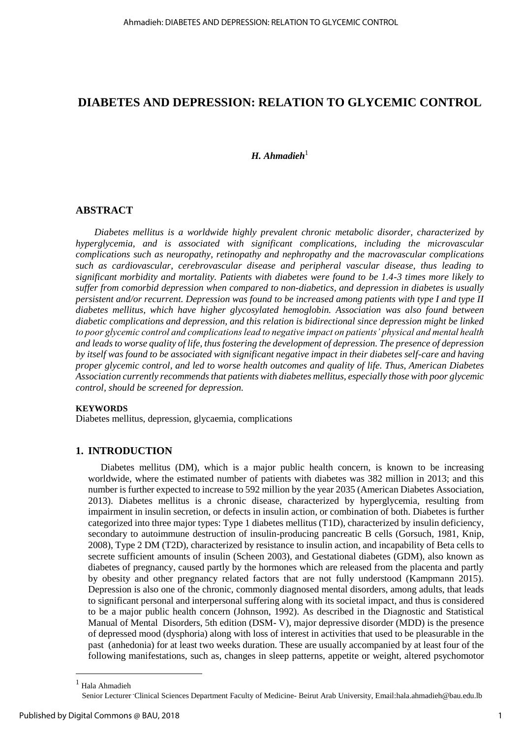### **DIABETES AND DEPRESSION: RELATION TO GLYCEMIC CONTROL**

#### *H. Ahmadieh*<sup>1</sup>

#### **ABSTRACT**

*Diabetes mellitus is a worldwide highly prevalent chronic metabolic disorder, characterized by hyperglycemia, and is associated with significant complications, including the microvascular complications such as neuropathy, retinopathy and nephropathy and the macrovascular complications such as cardiovascular, cerebrovascular disease and peripheral vascular disease, thus leading to significant morbidity and mortality. Patients with diabetes were found to be 1.4-3 times more likely to suffer from comorbid depression when compared to non-diabetics, and depression in diabetes is usually persistent and/or recurrent. Depression was found to be increased among patients with type I and type II diabetes mellitus, which have higher glycosylated hemoglobin. Association was also found between diabetic complications and depression, and this relation is bidirectional since depression might be linked to poor glycemic control and complications lead to negative impact on patients' physical and mental health and leads to worse quality of life, thus fostering the development of depression. The presence of depression by itself was found to be associated with significant negative impact in their diabetes self-care and having proper glycemic control, and led to worse health outcomes and quality of life. Thus, American Diabetes Association currently recommends that patients with diabetes mellitus, especially those with poor glycemic control, should be screened for depression.* 

#### **KEYWORDS**

Diabetes mellitus, depression, glycaemia, complications

### **1. INTRODUCTION**

Diabetes mellitus (DM), which is a major public health concern, is known to be increasing worldwide, where the estimated number of patients with diabetes was 382 million in 2013; and this number is further expected to increase to 592 million by the year 2035 (American Diabetes Association, 2013). Diabetes mellitus is a chronic disease, characterized by hyperglycemia, resulting from impairment in insulin secretion, or defects in insulin action, or combination of both. Diabetes is further categorized into three major types: Type 1 diabetes mellitus (T1D), characterized by insulin deficiency, secondary to autoimmune destruction of insulin-producing pancreatic B cells (Gorsuch, 1981, Knip, 2008), Type 2 DM (T2D), characterized by resistance to insulin action, and incapability of Beta cells to secrete sufficient amounts of insulin (Scheen 2003), and Gestational diabetes (GDM), also known as diabetes of pregnancy, caused partly by the hormones which are released from the placenta and partly by obesity and other pregnancy related factors that are not fully understood (Kampmann 2015). Depression is also one of the chronic, commonly diagnosed mental disorders, among adults, that leads to significant personal and interpersonal suffering along with its societal impact, and thus is considered to be a major public health concern (Johnson, 1992). As described in the Diagnostic and Statistical Manual of Mental Disorders, 5th edition (DSM- V), major depressive disorder (MDD) is the presence of depressed mood (dysphoria) along with loss of interest in activities that used to be pleasurable in the past (anhedonia) for at least two weeks duration. These are usually accompanied by at least four of the following manifestations, such as, changes in sleep patterns, appetite or weight, altered psychomotor

 $\overline{a}$ 

<sup>1</sup> Hala Ahmadieh

Senior Lecturer Clinical Sciences Department Faculty of Medicine- Beirut Arab University, Email[:hala.ahmadieh@bau.edu.lb](mailto:hala.ahmadieh@bau.edu.lb)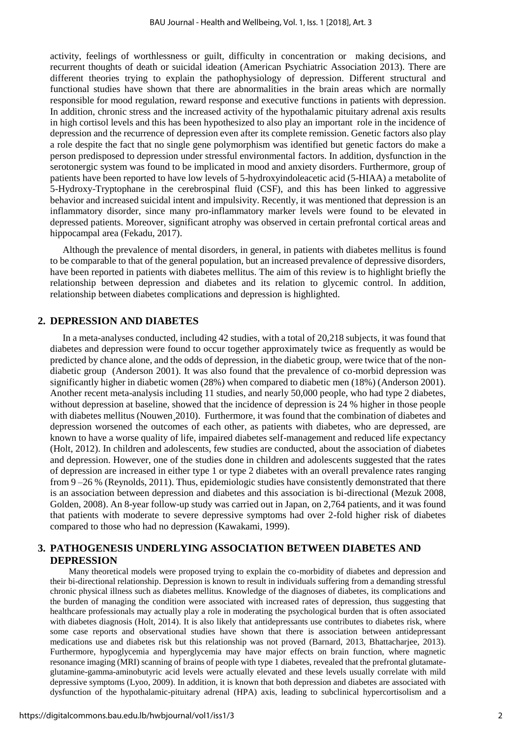activity, feelings of worthlessness or guilt, difficulty in concentration or making decisions, and recurrent thoughts of death or suicidal ideation (American Psychiatric Association 2013). There are different theories trying to explain the pathophysiology of depression. Different structural and functional studies have shown that there are abnormalities in the brain areas which are normally responsible for mood regulation, reward response and executive functions in patients with depression. In addition, chronic stress and the increased activity of the hypothalamic pituitary adrenal axis results in high cortisol levels and this has been hypothesized to also play an important role in the incidence of depression and the recurrence of depression even after its complete remission. Genetic factors also play a role despite the fact that no single gene polymorphism was identified but genetic factors do make a person predisposed to depression under stressful environmental factors. In addition, dysfunction in the serotonergic system was found to be implicated in mood and anxiety disorders. Furthermore, group of patients have been reported to have low levels of 5-hydroxyindoleacetic acid (5-HIAA) a metabolite of 5-Hydroxy-Tryptophane in the cerebrospinal fluid (CSF), and this has been linked to aggressive behavior and increased suicidal intent and impulsivity. Recently, it was mentioned that depression is an inflammatory disorder, since many pro-inflammatory marker levels were found to be elevated in depressed patients. Moreover, significant atrophy was observed in certain prefrontal cortical areas and hippocampal area (Fekadu, 2017).

Although the prevalence of mental disorders, in general, in patients with diabetes mellitus is found to be comparable to that of the general population, but an increased prevalence of depressive disorders, have been reported in patients with diabetes mellitus. The aim of this review is to highlight briefly the relationship between depression and diabetes and its relation to glycemic control. In addition, relationship between diabetes complications and depression is highlighted.

#### **2. DEPRESSION AND DIABETES**

In a meta-analyses conducted, including 42 studies, with a total of 20,218 subjects, it was found that diabetes and depression were found to occur together approximately twice as frequently as would be predicted by chance alone, and the odds of depression, in the diabetic group, were twice that of the nondiabetic group (Anderson 2001). It was also found that the prevalence of co-morbid depression was significantly higher in diabetic women (28%) when compared to diabetic men (18%) (Anderson 2001). Another recent meta-analysis including 11 studies, and nearly 50,000 people, who had type 2 diabetes, without depression at baseline, showed that the incidence of depression is 24 % higher in those people with diabetes mellitus (Nouwen 2010). Furthermore, it was found that the combination of diabetes and depression worsened the outcomes of each other, as patients with diabetes, who are depressed, are known to have a worse quality of life, impaired diabetes self-management and reduced life expectancy (Holt, 2012). In children and adolescents, few studies are conducted, about the association of diabetes and depression. However, one of the studies done in children and adolescents suggested that the rates of depression are increased in either type 1 or type 2 diabetes with an overall prevalence rates ranging from 9–26 % (Reynolds, 2011). Thus, epidemiologic studies have consistently demonstrated that there is an association between depression and diabetes and this association is bi-directional (Mezuk 2008, Golden, 2008). An 8-year follow-up study was carried out in Japan, on 2,764 patients, and it was found that patients with moderate to severe depressive symptoms had over 2-fold higher risk of diabetes compared to those who had no depression (Kawakami, 1999).

#### **3. PATHOGENESIS UNDERLYING ASSOCIATION BETWEEN DIABETES AND DEPRESSION**

Many theoretical models were proposed trying to explain the co-morbidity of diabetes and depression and their bi-directional relationship. Depression is known to result in individuals suffering from a demanding stressful chronic physical illness such as diabetes mellitus. Knowledge of the diagnoses of diabetes, its complications and the burden of managing the condition were associated with increased rates of depression, thus suggesting that healthcare professionals may actually play a role in moderating the psychological burden that is often associated with diabetes diagnosis [\(Holt,](https://www.ncbi.nlm.nih.gov/pubmed/?term=Holt%20RI%5BAuthor%5D&cauthor=true&cauthor_uid=24743941) 2014). It is also likely that antidepressants use contributes to diabetes risk, where some case reports and observational studies have shown that there is association between antidepressant medications use and diabetes risk but this relationship was not proved (Barnard, 2013, Bhattacharjee, 2013). Furthermore, hypoglycemia and hyperglycemia may have major effects on brain function, where magnetic resonance imaging (MRI) scanning of brains of people with type 1 diabetes, revealed that the prefrontal glutamateglutamine-gamma-aminobutyric acid levels were actually elevated and these levels usually correlate with mild depressive symptoms (Lyoo, 2009). In addition, it is known that both depression and diabetes are associated with dysfunction of the hypothalamic-pituitary adrenal (HPA) axis, leading to subclinical hypercortisolism and a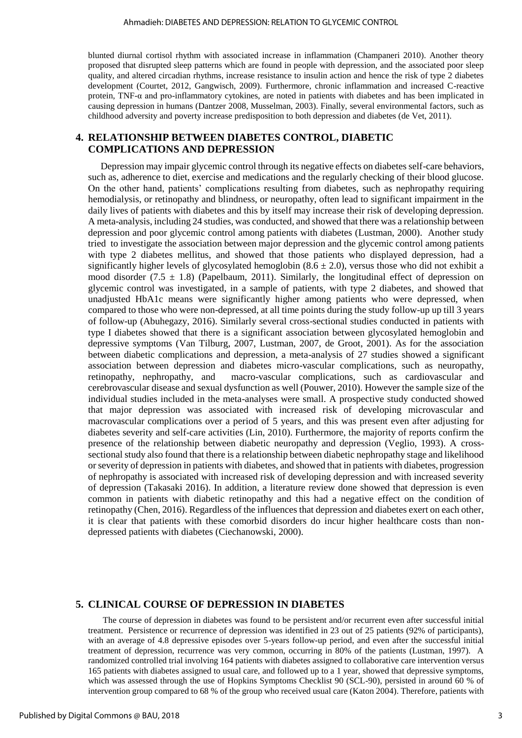blunted diurnal cortisol rhythm with associated increase in inflammation (Champaneri 2010). Another theory proposed that disrupted sleep patterns which are found in people with depression, and the associated poor sleep quality, and altered circadian rhythms, increase resistance to insulin action and hence the risk of type 2 diabetes development (Courtet, 2012, Gangwisch, 2009). Furthermore, chronic inflammation and increased C-reactive protein, TNF-α and pro-inflammatory cytokines, are noted in patients with diabetes and has been implicated in causing depression in humans (Dantzer 2008, Musselman, 2003). Finally, several environmental factors, such as childhood adversity and poverty increase predisposition to both depression and diabetes (de Vet, 2011).

#### **4. RELATIONSHIP BETWEEN DIABETES CONTROL, DIABETIC COMPLICATIONS AND DEPRESSION**

Depression may impair glycemic control through its negative effects on diabetes self-care behaviors, such as, adherence to diet, exercise and medications and the regularly checking of their blood glucose. On the other hand, patients' complications resulting from diabetes, such as nephropathy requiring hemodialysis, or retinopathy and blindness, or neuropathy, often lead to significant impairment in the daily lives of patients with diabetes and this by itself may increase their risk of developing depression. A meta-analysis, including 24 studies, was conducted, and showed that there was a relationship between depression and poor glycemic control among patients with diabetes (Lustman, 2000). Another study tried to investigate the association between major depression and the glycemic control among patients with type 2 diabetes mellitus, and showed that those patients who displayed depression, had a significantly higher levels of glycosylated hemoglobin  $(8.6 \pm 2.0)$ , versus those who did not exhibit a mood disorder (7.5  $\pm$  1.8) (Papelbaum, 2011). Similarly, the longitudinal effect of depression on glycemic control was investigated, in a sample of patients, with type 2 diabetes, and showed that unadjusted HbA1c means were significantly higher among patients who were depressed, when compared to those who were non-depressed, at all time points during the study follow-up up till 3 years of follow-up (Abuhegazy, 2016). Similarly several cross-sectional studies conducted in patients with type I diabetes showed that there is a significant association between glycosylated hemoglobin and depressive symptoms (Van Tilburg, 2007, Lustman, 2007, de Groot, 2001). As for the association between diabetic complications and depression, a meta-analysis of 27 studies showed a significant association between depression and diabetes micro-vascular complications, such as neuropathy, retinopathy, nephropathy, and macro-vascular complications, such as cardiovascular and cerebrovascular disease and sexual dysfunction as well (Pouwer, 2010). However the sample size of the individual studies included in the meta-analyses were small. A prospective study conducted showed that major depression was associated with increased risk of developing microvascular and macrovascular complications over a period of 5 years, and this was present even after adjusting for diabetes severity and self-care activities (Lin, 2010). Furthermore, the majority of reports confirm the presence of the relationship between diabetic neuropathy and depression (Veglio, 1993). A crosssectional study also found that there is a relationship between diabetic nephropathy stage and likelihood or severity of depression in patients with diabetes, and showed that in patients with diabetes, progression of nephropathy is associated with increased risk of developing depression and with increased severity of depression (Takasaki 2016). In addition, a literature review done showed that depression is even common in patients with diabetic retinopathy and this had a negative effect on the condition of retinopathy (Chen, 2016). Regardless of the influences that depression and diabetes exert on each other, it is clear that patients with these comorbid disorders do incur higher healthcare costs than nondepressed patients with diabetes (Ciechanowski, 2000).

#### **5. CLINICAL COURSE OF DEPRESSION IN DIABETES**

 The course of depression in diabetes was found to be persistent and/or recurrent even after successful initial treatment. Persistence or recurrence of depression was identified in 23 out of 25 patients (92% of participants), with an average of 4.8 depressive episodes over 5-years follow-up period, and even after the successful initial treatment of depression, recurrence was very common, occurring in 80% of the patients (Lustman, 1997). A randomized controlled trial involving 164 patients with diabetes assigned to collaborative care intervention versus 165 patients with diabetes assigned to usual care, and followed up to a 1 year, showed that depressive symptoms, which was assessed through the use of Hopkins Symptoms Checklist 90 (SCL-90), persisted in around 60 % of intervention group compared to 68 % of the group who received usual care (Katon 2004). Therefore, patients with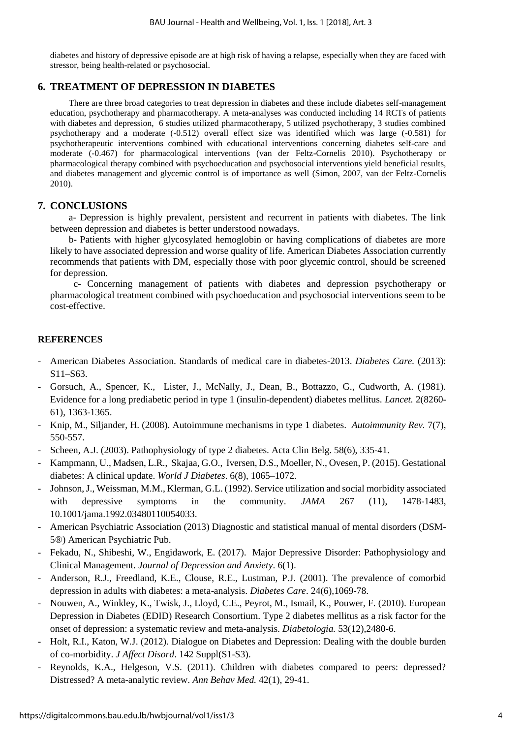diabetes and history of depressive episode are at high risk of having a relapse, especially when they are faced with stressor, being health-related or psychosocial.

#### **6. TREATMENT OF DEPRESSION IN DIABETES**

There are three broad categories to treat depression in diabetes and these include diabetes self-management education, psychotherapy and pharmacotherapy. A meta-analyses was conducted including 14 RCTs of patients with diabetes and depression, 6 studies utilized pharmacotherapy, 5 utilized psychotherapy, 3 studies combined psychotherapy and a moderate (-0.512) overall effect size was identified which was large (-0.581) for psychotherapeutic interventions combined with educational interventions concerning diabetes self-care and moderate (-0.467) for pharmacological interventions (van der Feltz-Cornelis 2010). Psychotherapy or pharmacological therapy combined with psychoeducation and psychosocial interventions yield beneficial results, and diabetes management and glycemic control is of importance as well (Simon, 2007, van der Feltz-Cornelis 2010).

#### **7. CONCLUSIONS**

a- Depression is highly prevalent, persistent and recurrent in patients with diabetes. The link between depression and diabetes is better understood nowadays.

b- Patients with higher glycosylated hemoglobin or having complications of diabetes are more likely to have associated depression and worse quality of life. American Diabetes Association currently recommends that patients with DM, especially those with poor glycemic control, should be screened for depression.

 c- Concerning management of patients with diabetes and depression psychotherapy or pharmacological treatment combined with psychoeducation and psychosocial interventions seem to be cost-effective.

#### **REFERENCES**

- American Diabetes Association. Standards of medical care in diabetes-2013. *Diabetes Care.* (2013): S11–S63.
- Gorsuch, A., Spencer, K., Lister, J., McNally, J., Dean, B., Bottazzo, G., Cudworth, A. (1981). Evidence for a long prediabetic period in type 1 (insulin-dependent) diabetes mellitus. *Lancet.* 2(8260- 61), 1363-1365.
- Knip, M., Siljander, H. (2008). Autoimmune mechanisms in type 1 diabetes. *Autoimmunity Rev.* 7(7), 550-557.
- Scheen, A.J. (2003). Pathophysiology of type 2 diabetes. Acta Clin Belg. 58(6), 335-41.
- Kampmann, U., Madsen, L.R., Skajaa, G.O., Iversen, D.S., Moeller, N., Ovesen, P. (2015). Gestational diabetes: A clinical update. *World J Diabetes*. 6(8), 1065–1072.
- Johnson, J., Weissman, M.M., Klerman, G.L. (1992). Service utilization and social morbidity associated with depressive symptoms in the community. *JAMA* 267 (11), 1478-1483, [10.1001/jama.1992.03480110054033.](https://doi.org/10.1001/jama.1992.03480110054033)
- American Psychiatric Association (2013) Diagnostic and statistical manual of mental disorders (DSM-5®) American Psychiatric Pub.
- Fekadu, N., Shibeshi, W., Engidawork, E. (2017). Major Depressive Disorder: Pathophysiology and Clinical Management. *Journal of Depression and Anxiety*. 6(1).
- Anderson, R.J., Freedland, K.E., Clouse, R.E., Lustman, P.J. (2001). The prevalence of comorbid depression in adults with diabetes: a meta-analysis. *Diabetes Care*. 24(6),1069-78.
- Nouwen, A., Winkley, K., Twisk, J., Lloyd, C.E., Peyrot, M., Ismail, K., Pouwer, F. (2010). European Depression in Diabetes (EDID) Research Consortium. Type 2 diabetes mellitus as a risk factor for the onset of depression: a systematic review and meta-analysis. *Diabetologia.* 53(12),2480-6.
- Holt, R.I., Katon, W.J. (2012). Dialogue on Diabetes and Depression: Dealing with the double burden of co-morbidity. *J Affect Disord*. 142 Suppl(S1-S3).
- Reynolds, K.A., Helgeson, V.S. (2011). Children with diabetes compared to peers: depressed? Distressed? A meta-analytic review. *Ann Behav Med.* 42(1), 29-41.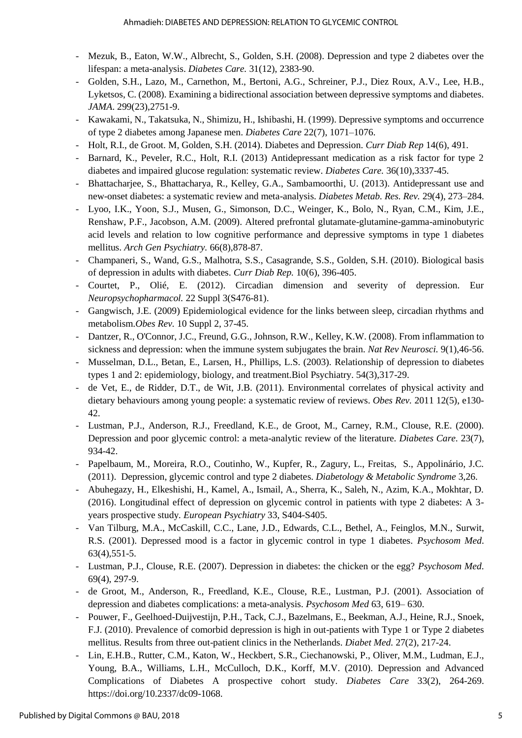- Mezuk, B., Eaton, W.W., Albrecht, S., Golden, S.H. (2008). Depression and type 2 diabetes over the lifespan: a meta-analysis. *Diabetes Care.* 31(12), 2383-90.
- Golden, S.H., Lazo, M., Carnethon, M., Bertoni, A.G., Schreiner, P.J., Diez Roux, A.V., Lee, H.B., Lyketsos, C. (2008). Examining a bidirectional association between depressive symptoms and diabetes*. JAMA*. 299(23),2751-9.
- Kawakami, N., Takatsuka, N., Shimizu, H., Ishibashi, H. (1999). Depressive symptoms and occurrence of type 2 diabetes among Japanese men. *Diabetes Care* 22(7), 1071–1076.
- Holt, R.I., de Groot. M, Golden, S.H. (2014). Diabetes and Depression. *[Curr Diab Rep](https://www.ncbi.nlm.nih.gov/entrez/eutils/elink.fcgi?dbfrom=pubmed&retmode=ref&cmd=prlinks&id=24743941)* 14(6), 491.
- Barnard, K., Peveler, R.C., Holt, R.I. (2013) Antidepressant medication as a risk factor for type 2 diabetes and impaired glucose regulation: systematic review. *Diabetes Care.* 36(10),3337-45.
- Bhattacharjee, S., Bhattacharya, R., Kelley, G.A., Sambamoorthi, U. (2013). Antidepressant use and new-onset diabetes: a systematic review and meta-analysis. *Diabetes Metab. Res. Rev.* 29(4), 273–284.
- Lyoo, I.K., Yoon, S.J., Musen, G., Simonson, D.C., Weinger, K., Bolo, N., Ryan, C.M., Kim, J.E., Renshaw, P.F., Jacobson, A.M. (2009). Altered prefrontal glutamate-glutamine-gamma-aminobutyric acid levels and relation to low cognitive performance and depressive symptoms in type 1 diabetes mellitus. *Arch Gen Psychiatry.* 66(8),878-87.
- Champaneri, S., Wand, G.S., Malhotra, S.S., Casagrande, S.S., Golden, S.H. (2010). Biological basis of depression in adults with diabetes. *Curr Diab Rep.* 10(6), 396-405.
- Courtet, P., Olié, E. (2012). Circadian dimension and severity of depression. Eur *Neuropsychopharmacol.* 22 Suppl 3(S476-81).
- Gangwisch, J.E. (2009) Epidemiological evidence for the links between sleep, circadian rhythms and metabolism.*Obes Rev.* 10 Suppl 2, 37-45.
- Dantzer, R., O'Connor, J.C., Freund, G.G., Johnson, R.W., Kelley, K.W. (2008). From inflammation to sickness and depression: when the immune system subjugates the brain. *Nat Rev Neurosci.* 9(1),46-56.
- Musselman, D.L., Betan, E., Larsen, H., Phillips, L.S. (2003). Relationship of depression to diabetes types 1 and 2: epidemiology, biology, and treatment.Biol Psychiatry. 54(3),317-29.
- de Vet, E., de Ridder, D.T., de Wit, J.B. (2011). Environmental correlates of physical activity and dietary behaviours among young people: a systematic review of reviews. *Obes Rev.* 2011 12(5), e130- 42.
- Lustman, P.J., Anderson, R.J., Freedland, K.E., de Groot, M., Carney, R.M., Clouse, R.E. (2000). Depression and poor glycemic control: a meta-analytic review of the literature. *[Diabetes Care.](https://www.ncbi.nlm.nih.gov/pubmed/10895843)* 23(7), 934-42.
- Papelbaum, M., Moreira, R.O., Coutinho, W., Kupfer, R., Zagury, L., Freitas, S., Appolinário, J.C. (2011). Depression, glycemic control and type 2 diabetes. *Diabetology & Metabolic Syndrome* 3,26.
- Abuhegazy, H., Elkeshishi, H., Kamel, A., Ismail, A., Sherra, K., Saleh, N., Azim, K.A., Mokhtar, D. (2016). Longitudinal effect of depression on glycemic control in patients with type 2 diabetes: A 3 years prospective study*. [European Psychiatry](https://www.sciencedirect.com/science/journal/09249338)* 33, S404-S405.
- Van Tilburg, M.A., McCaskill, C.C., Lane, J.D., Edwards, C.L., Bethel, A., Feinglos, M.N., Surwit, R.S. (2001). Depressed mood is a factor in glycemic control in type 1 diabetes. *Psychosom Med*. 63(4),551-5.
- Lustman, P.J., Clouse, R.E. (2007). Depression in diabetes: the chicken or the egg? *Psychosom Med*. 69(4), 297-9.
- de Groot, M., Anderson, R., Freedland, K.E., Clouse, R.E., Lustman, P.J. (2001). Association of depression and diabetes complications: a meta-analysis. *Psychosom Med* 63, 619– 630.
- Pouwer, F., Geelhoed-Duijvestijn, P.H., Tack, C.J., Bazelmans, E., Beekman, A.J., Heine, R.J., Snoek, F.J. (2010). Prevalence of comorbid depression is high in out-patients with Type 1 or Type 2 diabetes mellitus. Results from three out-patient clinics in the Netherlands. *Diabet Med.* 27(2), 217-24.
- Lin, E.H.B., Rutter, C.M., Katon, W., Heckbert, S.R., Ciechanowski, P., Oliver, M.M., Ludman, E.J., Young, B.A., Williams, L.H., McCulloch, D.K., Korff, M.V. (2010). Depression and Advanced Complications of Diabetes A prospective cohort study. *Diabetes Care* 33(2), 264-269. [https://doi.org/10.2337/dc09-1068.](https://doi.org/10.2337/dc09-1068)